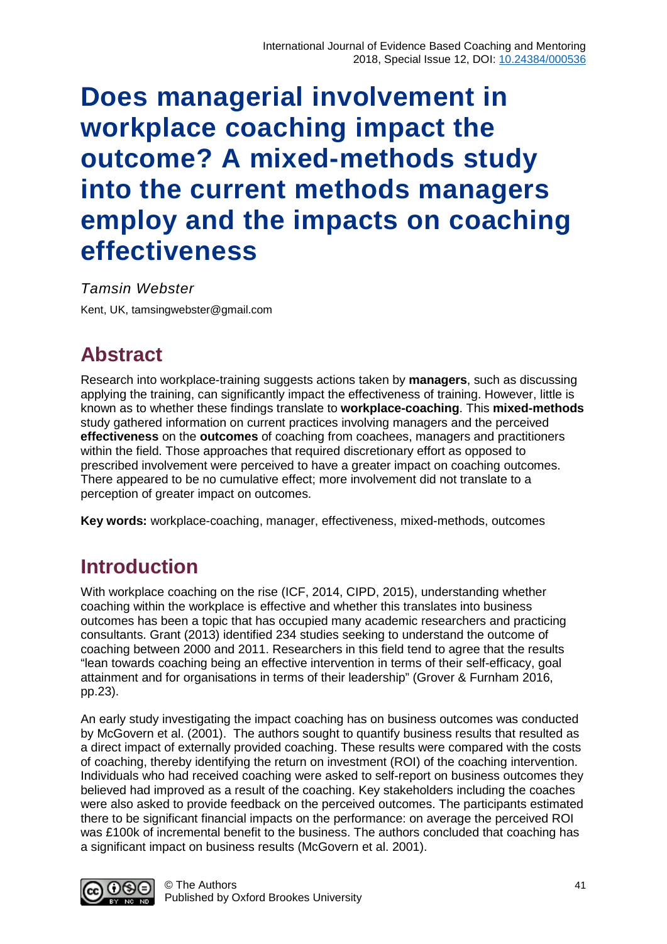# **Does managerial involvement in workplace coaching impact the outcome? A mixed-methods study into the current methods managers employ and the impacts on coaching effectiveness**

*Tamsin Webster* Kent, UK, [tamsingwebster@gmail.com](mailto:tamsingwebster@gmail.com)

## **Abstract**

Research into workplace-training suggests actions taken by **managers**, such as discussing applying the training, can significantly impact the effectiveness of training. However, little is known as to whether these findings translate to **workplace-coaching**. This **mixed-methods** study gathered information on current practices involving managers and the perceived **effectiveness** on the **outcomes** of coaching from coachees, managers and practitioners within the field. Those approaches that required discretionary effort as opposed to prescribed involvement were perceived to have a greater impact on coaching outcomes. There appeared to be no cumulative effect; more involvement did not translate to a perception of greater impact on outcomes.

**Key words:** workplace-coaching, manager, effectiveness, mixed-methods, outcomes

# **Introduction**

With workplace coaching on the rise (ICF, 2014, CIPD, 2015), understanding whether coaching within the workplace is effective and whether this translates into business outcomes has been a topic that has occupied many academic researchers and practicing consultants. Grant (2013) identified 234 studies seeking to understand the outcome of coaching between 2000 and 2011. Researchers in this field tend to agree that the results "lean towards coaching being an effective intervention in terms of their self-efficacy, goal attainment and for organisations in terms of their leadership" (Grover & Furnham 2016, pp.23).

An early study investigating the impact coaching has on business outcomes was conducted by McGovern et al. (2001). The authors sought to quantify business results that resulted as a direct impact of externally provided coaching. These results were compared with the costs of coaching, thereby identifying the return on investment (ROI) of the coaching intervention. Individuals who had received coaching were asked to self-report on business outcomes they believed had improved as a result of the coaching. Key stakeholders including the coaches were also asked to provide feedback on the perceived outcomes. The participants estimated there to be significant financial impacts on the performance: on average the perceived ROI was £100k of incremental benefit to the business. The authors concluded that coaching has a significant impact on business results (McGovern et al. 2001).

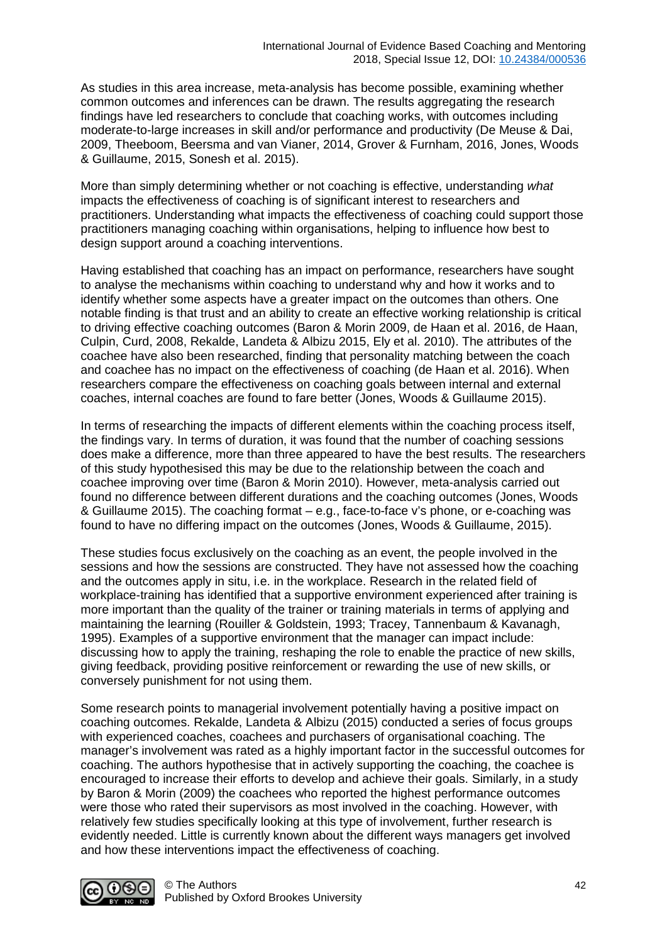As studies in this area increase, meta-analysis has become possible, examining whether common outcomes and inferences can be drawn. The results aggregating the research findings have led researchers to conclude that coaching works, with outcomes including moderate-to-large increases in skill and/or performance and productivity (De Meuse & Dai, 2009, Theeboom, Beersma and van Vianer, 2014, Grover & Furnham, 2016, Jones, Woods & Guillaume, 2015, Sonesh et al. 2015).

More than simply determining whether or not coaching is effective, understanding *what* impacts the effectiveness of coaching is of significant interest to researchers and practitioners. Understanding what impacts the effectiveness of coaching could support those practitioners managing coaching within organisations, helping to influence how best to design support around a coaching interventions.

Having established that coaching has an impact on performance, researchers have sought to analyse the mechanisms within coaching to understand why and how it works and to identify whether some aspects have a greater impact on the outcomes than others. One notable finding is that trust and an ability to create an effective working relationship is critical to driving effective coaching outcomes (Baron & Morin 2009, de Haan et al. 2016, de Haan, Culpin, Curd, 2008, Rekalde, Landeta & Albizu 2015, Ely et al. 2010). The attributes of the coachee have also been researched, finding that personality matching between the coach and coachee has no impact on the effectiveness of coaching (de Haan et al. 2016). When researchers compare the effectiveness on coaching goals between internal and external coaches, internal coaches are found to fare better (Jones, Woods & Guillaume 2015).

In terms of researching the impacts of different elements within the coaching process itself, the findings vary. In terms of duration, it was found that the number of coaching sessions does make a difference, more than three appeared to have the best results. The researchers of this study hypothesised this may be due to the relationship between the coach and coachee improving over time (Baron & Morin 2010). However, meta-analysis carried out found no difference between different durations and the coaching outcomes (Jones, Woods & Guillaume 2015). The coaching format – e.g., face-to-face v's phone, or e-coaching was found to have no differing impact on the outcomes (Jones, Woods & Guillaume, 2015).

These studies focus exclusively on the coaching as an event, the people involved in the sessions and how the sessions are constructed. They have not assessed how the coaching and the outcomes apply in situ, i.e. in the workplace. Research in the related field of workplace-training has identified that a supportive environment experienced after training is more important than the quality of the trainer or training materials in terms of applying and maintaining the learning (Rouiller & Goldstein, 1993; Tracey, Tannenbaum & Kavanagh, 1995). Examples of a supportive environment that the manager can impact include: discussing how to apply the training, reshaping the role to enable the practice of new skills, giving feedback, providing positive reinforcement or rewarding the use of new skills, or conversely punishment for not using them.

Some research points to managerial involvement potentially having a positive impact on coaching outcomes. Rekalde, Landeta & Albizu (2015) conducted a series of focus groups with experienced coaches, coachees and purchasers of organisational coaching. The manager's involvement was rated as a highly important factor in the successful outcomes for coaching. The authors hypothesise that in actively supporting the coaching, the coachee is encouraged to increase their efforts to develop and achieve their goals. Similarly, in a study by Baron & Morin (2009) the coachees who reported the highest performance outcomes were those who rated their supervisors as most involved in the coaching. However, with relatively few studies specifically looking at this type of involvement, further research is evidently needed. Little is currently known about the different ways managers get involved and how these interventions impact the effectiveness of coaching.

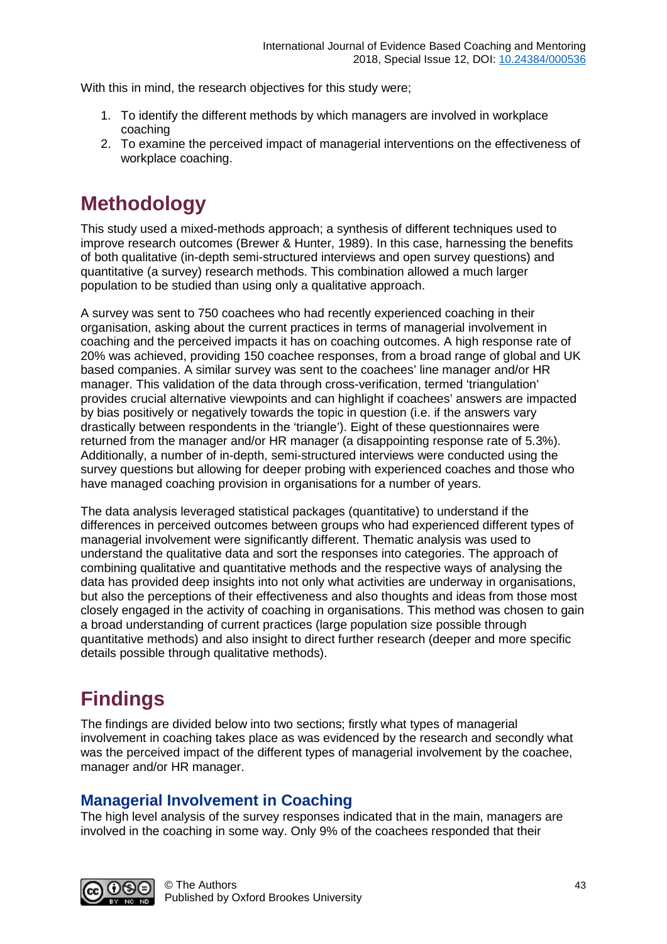With this in mind, the research objectives for this study were;

- 1. To identify the different methods by which managers are involved in workplace coaching
- 2. To examine the perceived impact of managerial interventions on the effectiveness of workplace coaching.

# **Methodology**

This study used a mixed-methods approach; a synthesis of different techniques used to improve research outcomes (Brewer & Hunter, 1989). In this case, harnessing the benefits of both qualitative (in-depth semi-structured interviews and open survey questions) and quantitative (a survey) research methods. This combination allowed a much larger population to be studied than using only a qualitative approach.

A survey was sent to 750 coachees who had recently experienced coaching in their organisation, asking about the current practices in terms of managerial involvement in coaching and the perceived impacts it has on coaching outcomes. A high response rate of 20% was achieved, providing 150 coachee responses, from a broad range of global and UK based companies. A similar survey was sent to the coachees' line manager and/or HR manager. This validation of the data through cross-verification, termed 'triangulation' provides crucial alternative viewpoints and can highlight if coachees' answers are impacted by bias positively or negatively towards the topic in question (i.e. if the answers vary drastically between respondents in the 'triangle'). Eight of these questionnaires were returned from the manager and/or HR manager (a disappointing response rate of 5.3%). Additionally, a number of in-depth, semi-structured interviews were conducted using the survey questions but allowing for deeper probing with experienced coaches and those who have managed coaching provision in organisations for a number of years.

The data analysis leveraged statistical packages (quantitative) to understand if the differences in perceived outcomes between groups who had experienced different types of managerial involvement were significantly different. Thematic analysis was used to understand the qualitative data and sort the responses into categories. The approach of combining qualitative and quantitative methods and the respective ways of analysing the data has provided deep insights into not only what activities are underway in organisations, but also the perceptions of their effectiveness and also thoughts and ideas from those most closely engaged in the activity of coaching in organisations. This method was chosen to gain a broad understanding of current practices (large population size possible through quantitative methods) and also insight to direct further research (deeper and more specific details possible through qualitative methods).

# **Findings**

The findings are divided below into two sections; firstly what types of managerial involvement in coaching takes place as was evidenced by the research and secondly what was the perceived impact of the different types of managerial involvement by the coachee, manager and/or HR manager.

#### **Managerial Involvement in Coaching**

The high level analysis of the survey responses indicated that in the main, managers are involved in the coaching in some way. Only 9% of the coachees responded that their

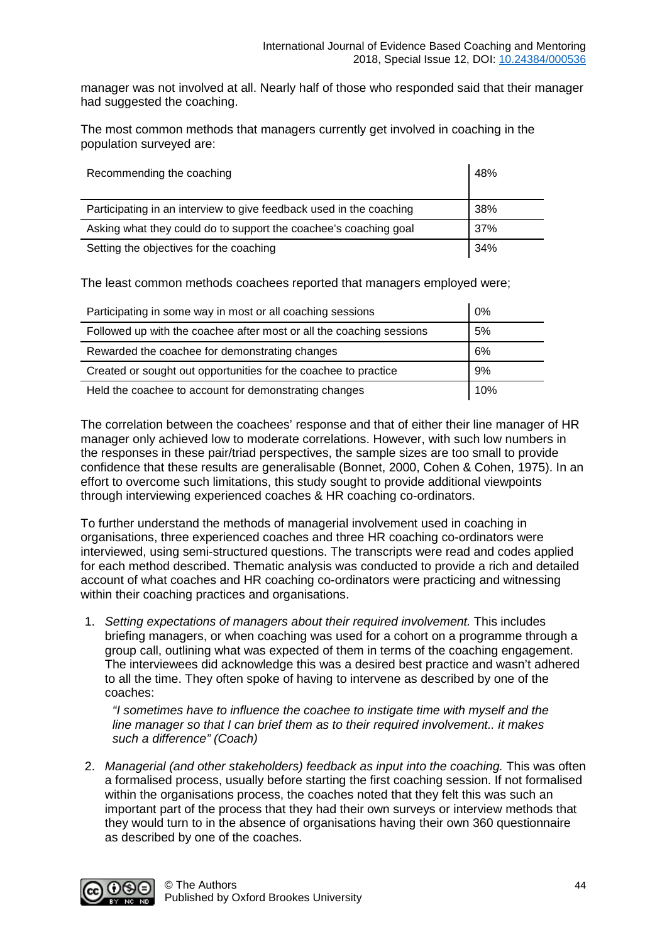manager was not involved at all. Nearly half of those who responded said that their manager had suggested the coaching.

The most common methods that managers currently get involved in coaching in the population surveyed are:

| Recommending the coaching                                           | 48% |
|---------------------------------------------------------------------|-----|
| Participating in an interview to give feedback used in the coaching | 38% |
| Asking what they could do to support the coachee's coaching goal    | 37% |
| Setting the objectives for the coaching                             | 34% |

The least common methods coachees reported that managers employed were;

| Participating in some way in most or all coaching sessions           | 0%  |
|----------------------------------------------------------------------|-----|
| Followed up with the coachee after most or all the coaching sessions | 5%  |
| Rewarded the coachee for demonstrating changes                       | 6%  |
| Created or sought out opportunities for the coachee to practice      | 9%  |
| Held the coachee to account for demonstrating changes                | 10% |

The correlation between the coachees' response and that of either their line manager of HR manager only achieved low to moderate correlations. However, with such low numbers in the responses in these pair/triad perspectives, the sample sizes are too small to provide confidence that these results are generalisable (Bonnet, 2000, Cohen & Cohen, 1975). In an effort to overcome such limitations, this study sought to provide additional viewpoints through interviewing experienced coaches & HR coaching co-ordinators.

To further understand the methods of managerial involvement used in coaching in organisations, three experienced coaches and three HR coaching co-ordinators were interviewed, using semi-structured questions. The transcripts were read and codes applied for each method described. Thematic analysis was conducted to provide a rich and detailed account of what coaches and HR coaching co-ordinators were practicing and witnessing within their coaching practices and organisations.

1. *Setting expectations of managers about their required involvement.* This includes briefing managers, or when coaching was used for a cohort on a programme through a group call, outlining what was expected of them in terms of the coaching engagement. The interviewees did acknowledge this was a desired best practice and wasn't adhered to all the time. They often spoke of having to intervene as described by one of the coaches:

*"I sometimes have to influence the coachee to instigate time with myself and the line manager so that I can brief them as to their required involvement.. it makes such a difference" (Coach)*

2. *Managerial (and other stakeholders) feedback as input into the coaching.* This was often a formalised process, usually before starting the first coaching session. If not formalised within the organisations process, the coaches noted that they felt this was such an important part of the process that they had their own surveys or interview methods that they would turn to in the absence of organisations having their own 360 questionnaire as described by one of the coaches.

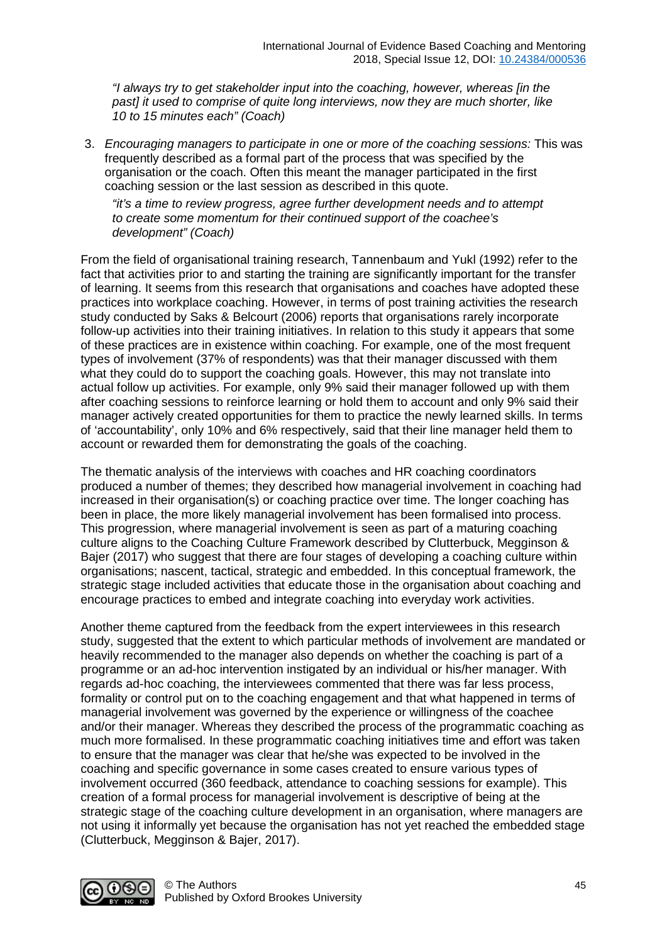*"I always try to get stakeholder input into the coaching, however, whereas [in the past] it used to comprise of quite long interviews, now they are much shorter, like 10 to 15 minutes each" (Coach)*

3. *Encouraging managers to participate in one or more of the coaching sessions:* This was frequently described as a formal part of the process that was specified by the organisation or the coach. Often this meant the manager participated in the first coaching session or the last session as described in this quote.

*"it's a time to review progress, agree further development needs and to attempt to create some momentum for their continued support of the coachee's development" (Coach)*

From the field of organisational training research, Tannenbaum and Yukl (1992) refer to the fact that activities prior to and starting the training are significantly important for the transfer of learning. It seems from this research that organisations and coaches have adopted these practices into workplace coaching. However, in terms of post training activities the research study conducted by Saks & Belcourt (2006) reports that organisations rarely incorporate follow-up activities into their training initiatives. In relation to this study it appears that some of these practices are in existence within coaching. For example, one of the most frequent types of involvement (37% of respondents) was that their manager discussed with them what they could do to support the coaching goals. However, this may not translate into actual follow up activities. For example, only 9% said their manager followed up with them after coaching sessions to reinforce learning or hold them to account and only 9% said their manager actively created opportunities for them to practice the newly learned skills. In terms of 'accountability', only 10% and 6% respectively, said that their line manager held them to account or rewarded them for demonstrating the goals of the coaching.

The thematic analysis of the interviews with coaches and HR coaching coordinators produced a number of themes; they described how managerial involvement in coaching had increased in their organisation(s) or coaching practice over time. The longer coaching has been in place, the more likely managerial involvement has been formalised into process. This progression, where managerial involvement is seen as part of a maturing coaching culture aligns to the Coaching Culture Framework described by Clutterbuck, Megginson & Bajer (2017) who suggest that there are four stages of developing a coaching culture within organisations; nascent, tactical, strategic and embedded. In this conceptual framework, the strategic stage included activities that educate those in the organisation about coaching and encourage practices to embed and integrate coaching into everyday work activities.

Another theme captured from the feedback from the expert interviewees in this research study, suggested that the extent to which particular methods of involvement are mandated or heavily recommended to the manager also depends on whether the coaching is part of a programme or an ad-hoc intervention instigated by an individual or his/her manager. With regards ad-hoc coaching, the interviewees commented that there was far less process, formality or control put on to the coaching engagement and that what happened in terms of managerial involvement was governed by the experience or willingness of the coachee and/or their manager. Whereas they described the process of the programmatic coaching as much more formalised. In these programmatic coaching initiatives time and effort was taken to ensure that the manager was clear that he/she was expected to be involved in the coaching and specific governance in some cases created to ensure various types of involvement occurred (360 feedback, attendance to coaching sessions for example). This creation of a formal process for managerial involvement is descriptive of being at the strategic stage of the coaching culture development in an organisation, where managers are not using it informally yet because the organisation has not yet reached the embedded stage (Clutterbuck, Megginson & Bajer, 2017).

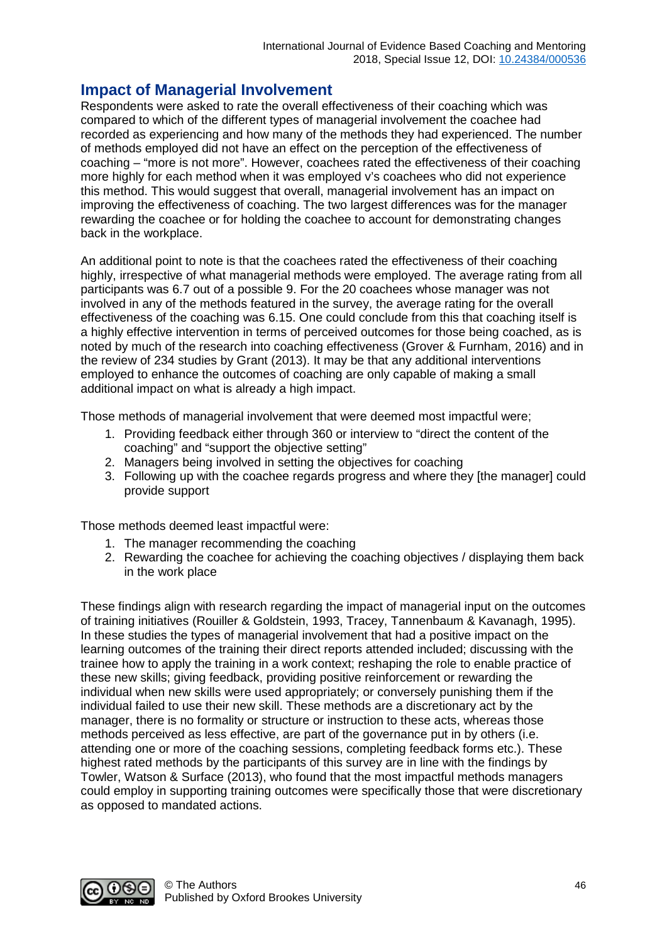#### **Impact of Managerial Involvement**

Respondents were asked to rate the overall effectiveness of their coaching which was compared to which of the different types of managerial involvement the coachee had recorded as experiencing and how many of the methods they had experienced. The number of methods employed did not have an effect on the perception of the effectiveness of coaching – "more is not more". However, coachees rated the effectiveness of their coaching more highly for each method when it was employed v's coachees who did not experience this method. This would suggest that overall, managerial involvement has an impact on improving the effectiveness of coaching. The two largest differences was for the manager rewarding the coachee or for holding the coachee to account for demonstrating changes back in the workplace.

An additional point to note is that the coachees rated the effectiveness of their coaching highly, irrespective of what managerial methods were employed. The average rating from all participants was 6.7 out of a possible 9. For the 20 coachees whose manager was not involved in any of the methods featured in the survey, the average rating for the overall effectiveness of the coaching was 6.15. One could conclude from this that coaching itself is a highly effective intervention in terms of perceived outcomes for those being coached, as is noted by much of the research into coaching effectiveness (Grover & Furnham, 2016) and in the review of 234 studies by Grant (2013). It may be that any additional interventions employed to enhance the outcomes of coaching are only capable of making a small additional impact on what is already a high impact.

Those methods of managerial involvement that were deemed most impactful were;

- 1. Providing feedback either through 360 or interview to "direct the content of the coaching" and "support the objective setting"
- 2. Managers being involved in setting the objectives for coaching
- 3. Following up with the coachee regards progress and where they [the manager] could provide support

Those methods deemed least impactful were:

- 1. The manager recommending the coaching
- 2. Rewarding the coachee for achieving the coaching objectives / displaying them back in the work place

These findings align with research regarding the impact of managerial input on the outcomes of training initiatives (Rouiller & Goldstein, 1993, Tracey, Tannenbaum & Kavanagh, 1995). In these studies the types of managerial involvement that had a positive impact on the learning outcomes of the training their direct reports attended included; discussing with the trainee how to apply the training in a work context; reshaping the role to enable practice of these new skills; giving feedback, providing positive reinforcement or rewarding the individual when new skills were used appropriately; or conversely punishing them if the individual failed to use their new skill. These methods are a discretionary act by the manager, there is no formality or structure or instruction to these acts, whereas those methods perceived as less effective, are part of the governance put in by others (i.e. attending one or more of the coaching sessions, completing feedback forms etc.). These highest rated methods by the participants of this survey are in line with the findings by Towler, Watson & Surface (2013), who found that the most impactful methods managers could employ in supporting training outcomes were specifically those that were discretionary as opposed to mandated actions.

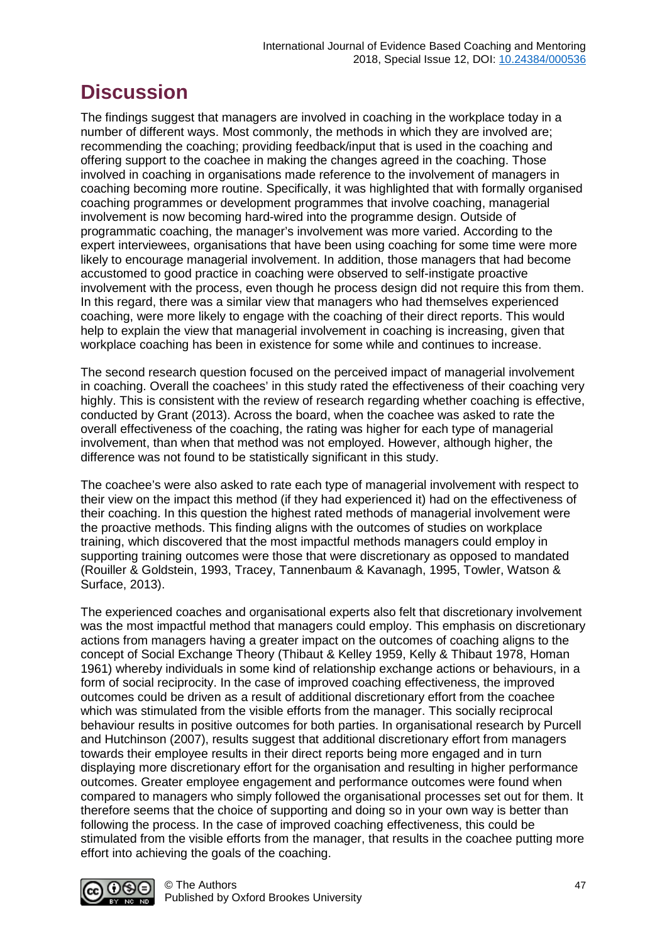# **Discussion**

The findings suggest that managers are involved in coaching in the workplace today in a number of different ways. Most commonly, the methods in which they are involved are; recommending the coaching; providing feedback/input that is used in the coaching and offering support to the coachee in making the changes agreed in the coaching. Those involved in coaching in organisations made reference to the involvement of managers in coaching becoming more routine. Specifically, it was highlighted that with formally organised coaching programmes or development programmes that involve coaching, managerial involvement is now becoming hard-wired into the programme design. Outside of programmatic coaching, the manager's involvement was more varied. According to the expert interviewees, organisations that have been using coaching for some time were more likely to encourage managerial involvement. In addition, those managers that had become accustomed to good practice in coaching were observed to self-instigate proactive involvement with the process, even though he process design did not require this from them. In this regard, there was a similar view that managers who had themselves experienced coaching, were more likely to engage with the coaching of their direct reports. This would help to explain the view that managerial involvement in coaching is increasing, given that workplace coaching has been in existence for some while and continues to increase.

The second research question focused on the perceived impact of managerial involvement in coaching. Overall the coachees' in this study rated the effectiveness of their coaching very highly. This is consistent with the review of research regarding whether coaching is effective, conducted by Grant (2013). Across the board, when the coachee was asked to rate the overall effectiveness of the coaching, the rating was higher for each type of managerial involvement, than when that method was not employed. However, although higher, the difference was not found to be statistically significant in this study.

The coachee's were also asked to rate each type of managerial involvement with respect to their view on the impact this method (if they had experienced it) had on the effectiveness of their coaching. In this question the highest rated methods of managerial involvement were the proactive methods. This finding aligns with the outcomes of studies on workplace training, which discovered that the most impactful methods managers could employ in supporting training outcomes were those that were discretionary as opposed to mandated (Rouiller & Goldstein, 1993, Tracey, Tannenbaum & Kavanagh, 1995, Towler, Watson & Surface, 2013).

The experienced coaches and organisational experts also felt that discretionary involvement was the most impactful method that managers could employ. This emphasis on discretionary actions from managers having a greater impact on the outcomes of coaching aligns to the concept of Social Exchange Theory (Thibaut & Kelley 1959, Kelly & Thibaut 1978, Homan 1961) whereby individuals in some kind of relationship exchange actions or behaviours, in a form of social reciprocity. In the case of improved coaching effectiveness, the improved outcomes could be driven as a result of additional discretionary effort from the coachee which was stimulated from the visible efforts from the manager. This socially reciprocal behaviour results in positive outcomes for both parties. In organisational research by Purcell and Hutchinson (2007), results suggest that additional discretionary effort from managers towards their employee results in their direct reports being more engaged and in turn displaying more discretionary effort for the organisation and resulting in higher performance outcomes. Greater employee engagement and performance outcomes were found when compared to managers who simply followed the organisational processes set out for them. It therefore seems that the choice of supporting and doing so in your own way is better than following the process. In the case of improved coaching effectiveness, this could be stimulated from the visible efforts from the manager, that results in the coachee putting more effort into achieving the goals of the coaching.

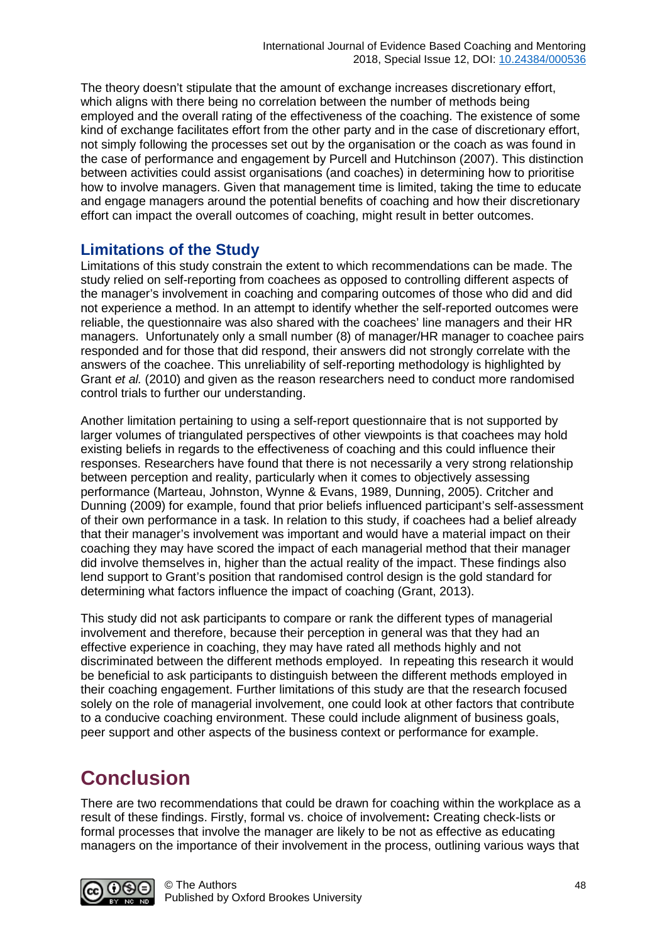The theory doesn't stipulate that the amount of exchange increases discretionary effort, which aligns with there being no correlation between the number of methods being employed and the overall rating of the effectiveness of the coaching. The existence of some kind of exchange facilitates effort from the other party and in the case of discretionary effort, not simply following the processes set out by the organisation or the coach as was found in the case of performance and engagement by Purcell and Hutchinson (2007). This distinction between activities could assist organisations (and coaches) in determining how to prioritise how to involve managers. Given that management time is limited, taking the time to educate and engage managers around the potential benefits of coaching and how their discretionary effort can impact the overall outcomes of coaching, might result in better outcomes.

#### **Limitations of the Study**

Limitations of this study constrain the extent to which recommendations can be made. The study relied on self-reporting from coachees as opposed to controlling different aspects of the manager's involvement in coaching and comparing outcomes of those who did and did not experience a method. In an attempt to identify whether the self-reported outcomes were reliable, the questionnaire was also shared with the coachees' line managers and their HR managers. Unfortunately only a small number (8) of manager/HR manager to coachee pairs responded and for those that did respond, their answers did not strongly correlate with the answers of the coachee. This unreliability of self-reporting methodology is highlighted by Grant *et al.* (2010) and given as the reason researchers need to conduct more randomised control trials to further our understanding.

Another limitation pertaining to using a self-report questionnaire that is not supported by larger volumes of triangulated perspectives of other viewpoints is that coachees may hold existing beliefs in regards to the effectiveness of coaching and this could influence their responses. Researchers have found that there is not necessarily a very strong relationship between perception and reality, particularly when it comes to objectively assessing performance (Marteau, Johnston, Wynne & Evans, 1989, Dunning, 2005). Critcher and Dunning (2009) for example, found that prior beliefs influenced participant's self-assessment of their own performance in a task. In relation to this study, if coachees had a belief already that their manager's involvement was important and would have a material impact on their coaching they may have scored the impact of each managerial method that their manager did involve themselves in, higher than the actual reality of the impact. These findings also lend support to Grant's position that randomised control design is the gold standard for determining what factors influence the impact of coaching (Grant, 2013).

This study did not ask participants to compare or rank the different types of managerial involvement and therefore, because their perception in general was that they had an effective experience in coaching, they may have rated all methods highly and not discriminated between the different methods employed. In repeating this research it would be beneficial to ask participants to distinguish between the different methods employed in their coaching engagement. Further limitations of this study are that the research focused solely on the role of managerial involvement, one could look at other factors that contribute to a conducive coaching environment. These could include alignment of business goals, peer support and other aspects of the business context or performance for example.

### **Conclusion**

There are two recommendations that could be drawn for coaching within the workplace as a result of these findings. Firstly, formal vs. choice of involvement**:** Creating check-lists or formal processes that involve the manager are likely to be not as effective as educating managers on the importance of their involvement in the process, outlining various ways that

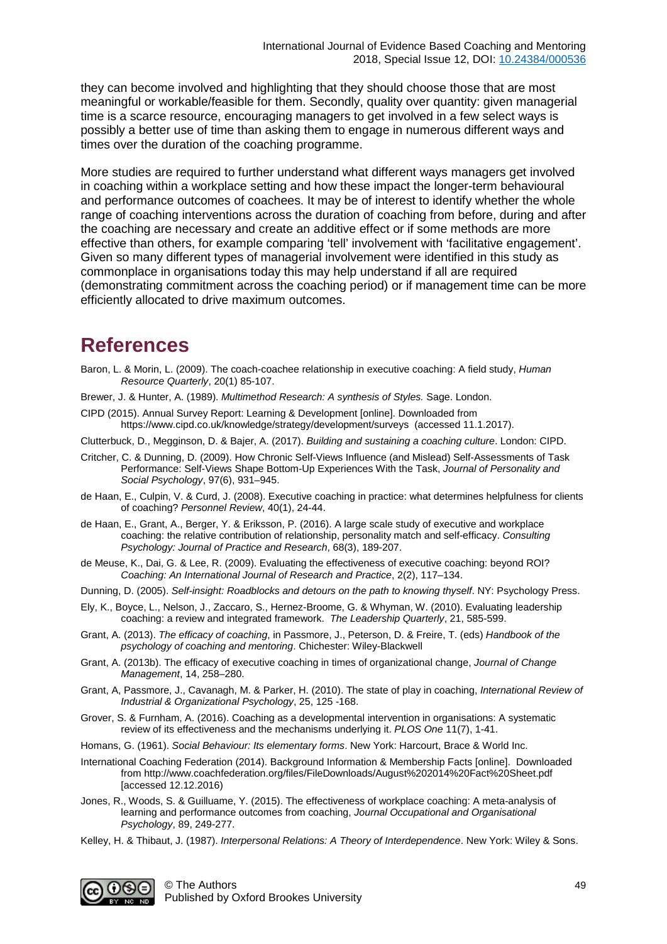they can become involved and highlighting that they should choose those that are most meaningful or workable/feasible for them. Secondly, quality over quantity: given managerial time is a scarce resource, encouraging managers to get involved in a few select ways is possibly a better use of time than asking them to engage in numerous different ways and times over the duration of the coaching programme.

More studies are required to further understand what different ways managers get involved in coaching within a workplace setting and how these impact the longer-term behavioural and performance outcomes of coachees. It may be of interest to identify whether the whole range of coaching interventions across the duration of coaching from before, during and after the coaching are necessary and create an additive effect or if some methods are more effective than others, for example comparing 'tell' involvement with 'facilitative engagement'. Given so many different types of managerial involvement were identified in this study as commonplace in organisations today this may help understand if all are required (demonstrating commitment across the coaching period) or if management time can be more efficiently allocated to drive maximum outcomes.

### **References**

- Baron, L. & Morin, L. (2009). The coach-coachee relationship in executive coaching: A field study, *Human Resource Quarterly*, 20(1) 85-107.
- Brewer, J. & Hunter, A. (1989). *Multimethod Research: A synthesis of Styles.* Sage. London.
- CIPD (2015). Annual Survey Report: Learning & Development [online]. Downloaded from https://www.cipd.co.uk/knowledge/strategy/development/surveys (accessed 11.1.2017).
- Clutterbuck, D., Megginson, D. & Bajer, A. (2017). *Building and sustaining a coaching culture*. London: CIPD.
- Critcher, C. & Dunning, D. (2009). How Chronic Self-Views Influence (and Mislead) Self-Assessments of Task Performance: Self-Views Shape Bottom-Up Experiences With the Task, *Journal of Personality and Social Psychology*, 97(6), 931–945.
- de Haan, E., Culpin, V. & Curd, J. (2008). Executive coaching in practice: what determines helpfulness for clients of coaching? *Personnel Review*, 40(1), 24-44.
- de Haan, E., Grant, A., Berger, Y. & Eriksson, P. (2016). A large scale study of executive and workplace coaching: the relative contribution of relationship, personality match and self-efficacy. *Consulting Psychology: Journal of Practice and Research*, 68(3), 189-207.
- de Meuse, K., Dai, G. & Lee, R. (2009). Evaluating the effectiveness of executive coaching: beyond ROI? *Coaching: An International Journal of Research and Practice*, 2(2), 117–134.
- Dunning, D. (2005). *Self-insight: Roadblocks and detours on the path to knowing thyself*. NY: Psychology Press.
- Ely, K., Boyce, L., Nelson, J., Zaccaro, S., Hernez-Broome, G. & Whyman, W. (2010). Evaluating leadership coaching: a review and integrated framework. *The Leadership Quarterly*, 21, 585-599.
- Grant, A. (2013). *The efficacy of coaching*, in Passmore, J., Peterson, D. & Freire, T. (eds) *Handbook of the psychology of coaching and mentoring*. Chichester: Wiley-Blackwell
- Grant, A. (2013b). The efficacy of executive coaching in times of organizational change, *Journal of Change Management*, 14, 258–280.
- Grant, A, Passmore, J., Cavanagh, M. & Parker, H. (2010). The state of play in coaching, *International Review of Industrial & Organizational Psychology*, 25, 125 -168.
- Grover, S. & Furnham, A. (2016). Coaching as a developmental intervention in organisations: A systematic review of its effectiveness and the mechanisms underlying it. *PLOS One* 11(7), 1-41.
- Homans, G. (1961). *Social Behaviour: Its elementary forms*. New York: Harcourt, Brace & World Inc.
- International Coaching Federation (2014). Background Information & Membership Facts [online]. Downloaded from http://www.coachfederation.org/files/FileDownloads/August%202014%20Fact%20Sheet.pdf [accessed 12.12.2016)
- Jones, R., Woods, S. & Guilluame, Y. (2015). The effectiveness of workplace coaching: A meta-analysis of learning and performance outcomes from coaching, *Journal Occupational and Organisational Psychology*, 89, 249-277.
- Kelley, H. & Thibaut, J. (1987). *Interpersonal Relations: A Theory of Interdependence*. New York: Wiley & Sons.